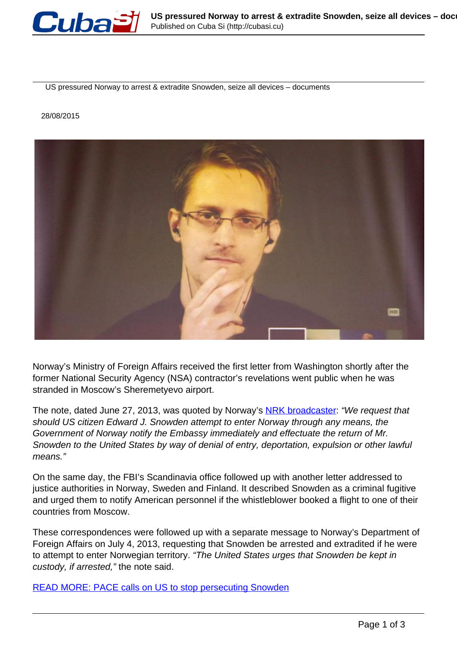

US pressured Norway to arrest & extradite Snowden, seize all devices – documents

28/08/2015



Norway's Ministry of Foreign Affairs received the first letter from Washington shortly after the former National Security Agency (NSA) contractor's revelations went public when he was stranded in Moscow's Sheremetyevo airport.

The note, dated June 27, 2013, was quoted by Norway's [NRK broadcaster](http://www.nrk.no/fordypning/usa-asked-norway-to-arrest-edward-snowden-1.12521802): "We request that should US citizen Edward J. Snowden attempt to enter Norway through any means, the Government of Norway notify the Embassy immediately and effectuate the return of Mr. Snowden to the United States by way of denial of entry, deportation, expulsion or other lawful means."

On the same day, the FBI's Scandinavia office followed up with another letter addressed to justice authorities in Norway, Sweden and Finland. It described Snowden as a criminal fugitive and urged them to notify American personnel if the whistleblower booked a flight to one of their countries from Moscow.

These correspondences were followed up with a separate message to Norway's Department of Foreign Affairs on July 4, 2013, requesting that Snowden be arrested and extradited if he were to attempt to enter Norwegian territory. "The United States urges that Snowden be kept in custody, if arrested," the note said.

READ MORE: PACE calls on US to stop persecuting Snowden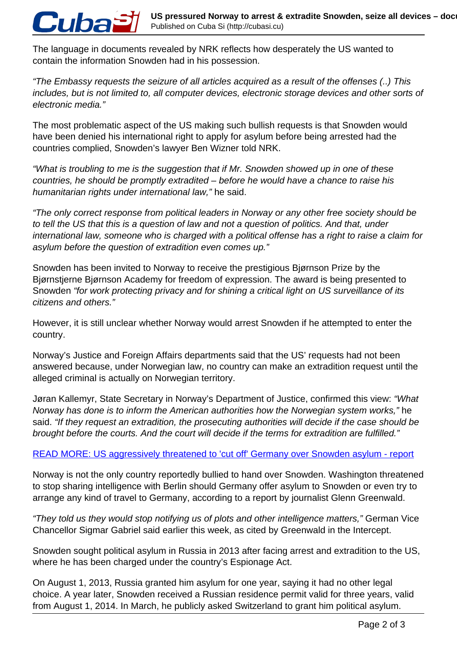The language in documents revealed by NRK reflects how desperately the US wanted to contain the information Snowden had in his possession.

Cuba

"The Embassy requests the seizure of all articles acquired as a result of the offenses (..) This includes, but is not limited to, all computer devices, electronic storage devices and other sorts of electronic media."

The most problematic aspect of the US making such bullish requests is that Snowden would have been denied his international right to apply for asylum before being arrested had the countries complied, Snowden's lawyer Ben Wizner told NRK.

"What is troubling to me is the suggestion that if Mr. Snowden showed up in one of these countries, he should be promptly extradited – before he would have a chance to raise his humanitarian rights under international law," he said.

"The only correct response from political leaders in Norway or any other free society should be to tell the US that this is a question of law and not a question of politics. And that, under international law, someone who is charged with a political offense has a right to raise a claim for asylum before the question of extradition even comes up."

Snowden has been invited to Norway to receive the prestigious Bjørnson Prize by the Bjørnstjerne Bjørnson Academy for freedom of expression. The award is being presented to Snowden "for work protecting privacy and for shining a critical light on US surveillance of its citizens and others."

However, it is still unclear whether Norway would arrest Snowden if he attempted to enter the country.

Norway's Justice and Foreign Affairs departments said that the US' requests had not been answered because, under Norwegian law, no country can make an extradition request until the alleged criminal is actually on Norwegian territory.

Jøran Kallemyr, State Secretary in Norway's Department of Justice, confirmed this view: "What Norway has done is to inform the American authorities how the Norwegian system works," he said. "If they request an extradition, the prosecuting authorities will decide if the case should be brought before the courts. And the court will decide if the terms for extradition are fulfilled."

## READ MORE: US aggressively threatened to 'cut off' Germany over Snowden asylum - report

Norway is not the only country reportedly bullied to hand over Snowden. Washington threatened to stop sharing intelligence with Berlin should Germany offer asylum to Snowden or even try to arrange any kind of travel to Germany, according to a report by journalist Glenn Greenwald.

"They told us they would stop notifying us of plots and other intelligence matters," German Vice Chancellor Sigmar Gabriel said earlier this week, as cited by Greenwald in the Intercept.

Snowden sought political asylum in Russia in 2013 after facing arrest and extradition to the US, where he has been charged under the country's Espionage Act.

On August 1, 2013, Russia granted him asylum for one year, saying it had no other legal choice. A year later, Snowden received a Russian residence permit valid for three years, valid from August 1, 2014. In March, he publicly asked Switzerland to grant him political asylum.